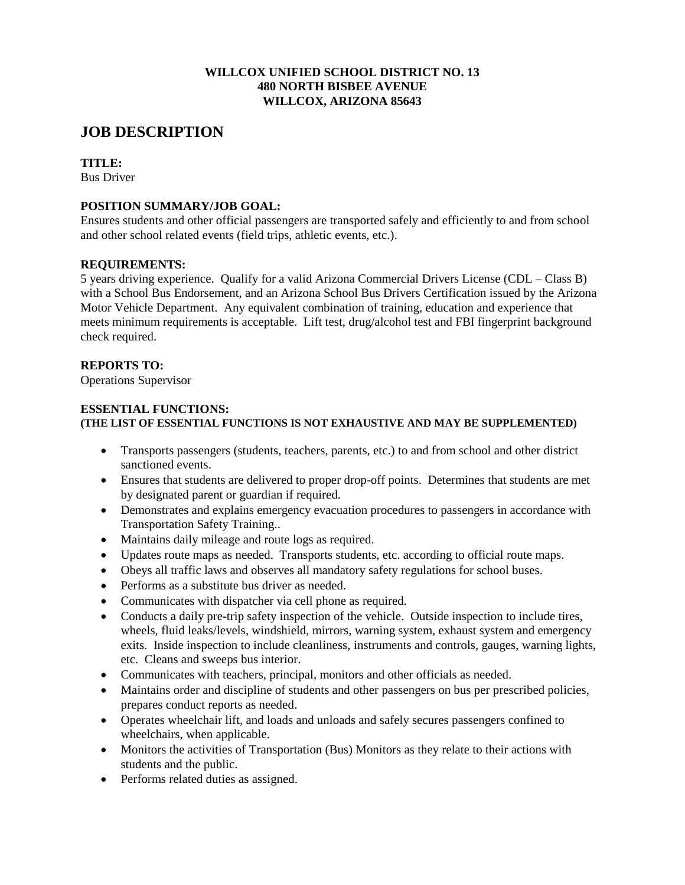## **WILLCOX UNIFIED SCHOOL DISTRICT NO. 13 480 NORTH BISBEE AVENUE WILLCOX, ARIZONA 85643**

# **JOB DESCRIPTION**

# **TITLE:**

Bus Driver

# **POSITION SUMMARY/JOB GOAL:**

Ensures students and other official passengers are transported safely and efficiently to and from school and other school related events (field trips, athletic events, etc.).

## **REQUIREMENTS:**

5 years driving experience. Qualify for a valid Arizona Commercial Drivers License (CDL – Class B) with a School Bus Endorsement, and an Arizona School Bus Drivers Certification issued by the Arizona Motor Vehicle Department. Any equivalent combination of training, education and experience that meets minimum requirements is acceptable. Lift test, drug/alcohol test and FBI fingerprint background check required.

## **REPORTS TO:**

Operations Supervisor

## **ESSENTIAL FUNCTIONS: (THE LIST OF ESSENTIAL FUNCTIONS IS NOT EXHAUSTIVE AND MAY BE SUPPLEMENTED)**

- Transports passengers (students, teachers, parents, etc.) to and from school and other district sanctioned events.
- Ensures that students are delivered to proper drop-off points. Determines that students are met by designated parent or guardian if required.
- Demonstrates and explains emergency evacuation procedures to passengers in accordance with Transportation Safety Training..
- Maintains daily mileage and route logs as required.
- Updates route maps as needed. Transports students, etc. according to official route maps.
- Obeys all traffic laws and observes all mandatory safety regulations for school buses.
- Performs as a substitute bus driver as needed.
- Communicates with dispatcher via cell phone as required.
- Conducts a daily pre-trip safety inspection of the vehicle. Outside inspection to include tires, wheels, fluid leaks/levels, windshield, mirrors, warning system, exhaust system and emergency exits. Inside inspection to include cleanliness, instruments and controls, gauges, warning lights, etc. Cleans and sweeps bus interior.
- Communicates with teachers, principal, monitors and other officials as needed.
- Maintains order and discipline of students and other passengers on bus per prescribed policies, prepares conduct reports as needed.
- Operates wheelchair lift, and loads and unloads and safely secures passengers confined to wheelchairs, when applicable.
- Monitors the activities of Transportation (Bus) Monitors as they relate to their actions with students and the public.
- Performs related duties as assigned.